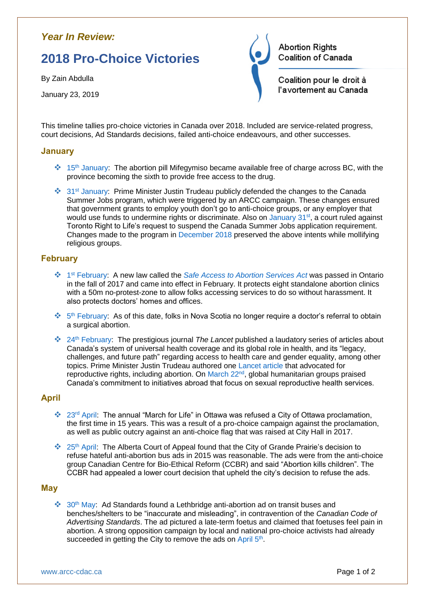# *Year In Review:*

# **2018 Pro-Choice Victories**

By Zain Abdulla

January 23, 2019

**Abortion Rights** Coalition of Canada Coalition pour le droit à l'avortement au Canada

This timeline tallies pro-choice victories in Canada over 2018. Included are service-related progress, court decisions, Ad Standards decisions, failed anti-choice endeavours, and other successes.

#### **January**

- $\cdot$  15<sup>th</sup> [January:](https://www.thestar.com/news/canada/2018/01/02/bc-to-pay-for-abortion-pill-becoming-sixth-province-to-provide-free-access.html) The abortion pill Mifegymiso became available free of charge across BC, with the province becoming the sixth to provide free access to the drug.
- ❖ 31st [January:](https://www.cbc.ca/news/politics/justin-trudeau-winnipeg-town-hall-1.4513399) Prime Minister Justin Trudeau publicly defended the changes to the Canada Summer Jobs program, which were triggered by an ARCC campaign. These changes ensured that government grants to employ youth don't go to anti-choice groups, or any employer that would use funds to undermine rights or discriminate. Also on [January](https://www.theglobeandmail.com/news/national/anti-abortion-group-loses-court-bid-over-summer-jobs-program/article37801907/) 31<sup>st</sup>, a court ruled against Toronto Right to Life's request to suspend the Canada Summer Jobs application requirement. Changes made to the program in [December 2018](https://globalnews.ca/news/4732603/canada-summer-jobs-attestation-change/) preserved the above intents while mollifying religious groups.

# **February**

- ❖ 1 st [February:](https://www.canadianlawyermag.com/legalfeeds/author/aidan-macnab/new-ontario-law-bans-protests-outside-abortion-providers-15148/) A new law called the *[Safe Access to Abortion Services Act](https://www.ontario.ca/laws/statute/17s19)* was passed in Ontario in the fall of 2017 and came into effect in February. It protects eight standalone abortion clinics with a 50m no-protest-zone to allow folks accessing services to do so without harassment. It also protects doctors' homes and offices.
- ❖ 5 th [February:](http://hshc.ca/pregnancy-options/) As of this date, folks in Nova Scotia no longer require a doctor's referral to obtain a surgical abortion.
- ❖ 24th [February:](https://www.thelancet.com/series/canada) The prestigious journal *The Lancet* published a laudatory series of articles about Canada's system of universal health coverage and its global role in health, and its "legacy, challenges, and future path" regarding access to health care and gender equality, among other topics. Prime Minister Justin Trudeau authored one [Lancet article](https://www.thelancet.com/journals/lancet/article/PIIS0140-6736(18)30180-6/fulltext) that advocated for reproductive rights, including abortion. On [March 22](https://ipolitics.ca/2018/03/22/humanitarian-experts-laud-trudeaus-commitment-to-reproductive-services-abroad/)<sup>nd</sup>, global humanitarian groups praised Canada's commitment to initiatives abroad that focus on sexual reproductive health services.

# **April**

- ❖ 23rd [April:](https://ottawacitizen.com/news/local-news/egan-because-its-2018-pro-lifers-get-no-flag-no-city-proclamation-for-life-march-on-may-10) The annual "March for Life" in Ottawa was refused a City of Ottawa proclamation, the first time in 15 years. This was a result of a pro-choice campaign against the proclamation, as well as public outcry against an anti-choice flag that was raised at City Hall in 2017.
- ❖ 25th [April:](http://www.arcc-cdac.ca/Canadian-Centre-for-Bio-Ethical-Reform-v-Grande-Prairie-City-2016-ABQB-734.pdf) The Alberta Court of Appeal found that the City of Grande Prairie's decision to refuse hateful anti-abortion bus ads in 2015 was reasonable. The ads were from the anti-choice group Canadian Centre for Bio-Ethical Reform (CCBR) and said "Abortion kills children". The CCBR had appealed a lower court decision that upheld the city's decision to refuse the ads.

# **May**

 $\dots$  30<sup>th</sup> [May:](https://globalnews.ca/news/4243812/advertising-standards-canada-finds-lethbridge-anti-abortion-bus-bench-ad-inaccurate-and-misleading/) Ad Standards found a Lethbridge anti-abortion ad on transit buses and benches/shelters to be "inaccurate and misleading", in contravention of the *Canadian Code of Advertising Standards*. The ad pictured a late-term foetus and claimed that foetuses feel pain in abortion. A strong opposition campaign by local and national pro-choice activists had already succeeded in getting the City to remove the ads on [April 5](https://www.cbc.ca/news/canada/calgary/lethbridge-abortion-ads-removed-1.4605284)<sup>th</sup>.